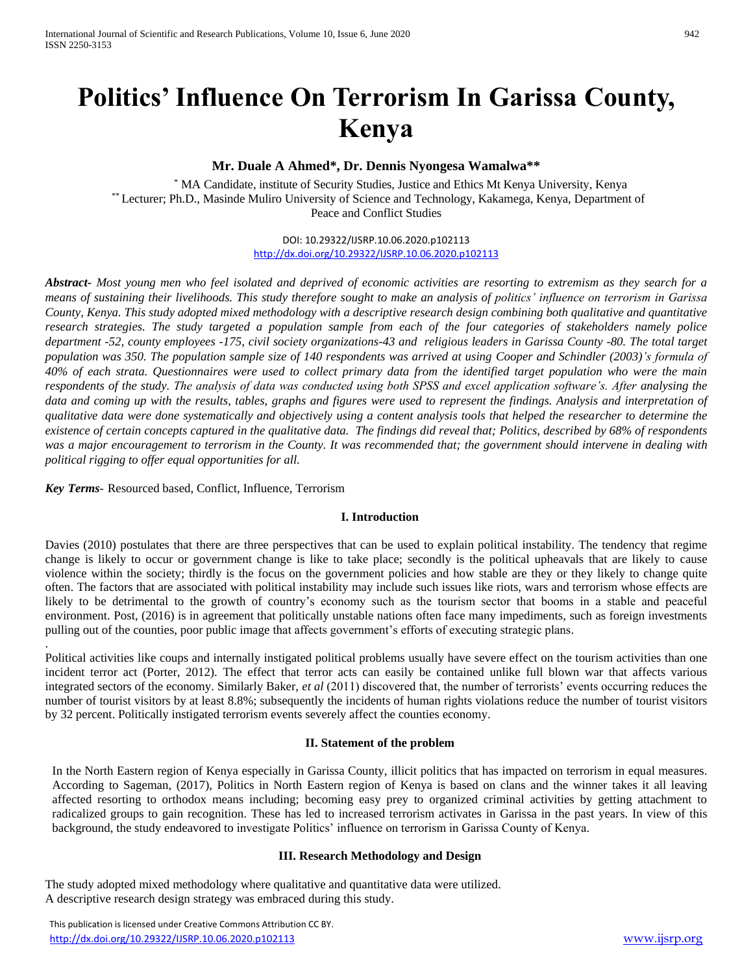# **Politics' Influence On Terrorism In Garissa County, Kenya**

# **Mr. Duale A Ahmed\*, Dr. Dennis Nyongesa Wamalwa\*\***

\* MA Candidate, institute of Security Studies, Justice and Ethics Mt Kenya University, Kenya \*\* Lecturer; Ph.D., Masinde Muliro University of Science and Technology, Kakamega, Kenya, Department of Peace and Conflict Studies

> DOI: 10.29322/IJSRP.10.06.2020.p102113 <http://dx.doi.org/10.29322/IJSRP.10.06.2020.p102113>

*Abstract- Most young men who feel isolated and deprived of economic activities are resorting to extremism as they search for a means of sustaining their livelihoods. This study therefore sought to make an analysis of politics' influence on terrorism in Garissa County, Kenya. This study adopted mixed methodology with a descriptive research design combining both qualitative and quantitative research strategies. The study targeted a population sample from each of the four categories of stakeholders namely police department -52, county employees -175, civil society organizations-43 and religious leaders in Garissa County -80. The total target population was 350. The population sample size of 140 respondents was arrived at using Cooper and Schindler (2003)'s formula of 40% of each strata. Questionnaires were used to collect primary data from the identified target population who were the main respondents of the study. The analysis of data was conducted using both SPSS and excel application software's. After analysing the*  data and coming up with the results, tables, graphs and figures were used to represent the findings. Analysis and interpretation of *qualitative data were done systematically and objectively using a content analysis tools that helped the researcher to determine the existence of certain concepts captured in the qualitative data. The findings did reveal that; Politics, described by 68% of respondents was a major encouragement to terrorism in the County. It was recommended that; the government should intervene in dealing with political rigging to offer equal opportunities for all.* 

*Key Terms*- Resourced based, Conflict, Influence, Terrorism

.

## **I. Introduction**

Davies (2010) postulates that there are three perspectives that can be used to explain political instability. The tendency that regime change is likely to occur or government change is like to take place; secondly is the political upheavals that are likely to cause violence within the society; thirdly is the focus on the government policies and how stable are they or they likely to change quite often. The factors that are associated with political instability may include such issues like riots, wars and terrorism whose effects are likely to be detrimental to the growth of country's economy such as the tourism sector that booms in a stable and peaceful environment. Post, (2016) is in agreement that politically unstable nations often face many impediments, such as foreign investments pulling out of the counties, poor public image that affects government's efforts of executing strategic plans.

Political activities like coups and internally instigated political problems usually have severe effect on the tourism activities than one incident terror act (Porter, 2012). The effect that terror acts can easily be contained unlike full blown war that affects various integrated sectors of the economy. Similarly Baker, *et al* (2011) discovered that, the number of terrorists' events occurring reduces the number of tourist visitors by at least 8.8%; subsequently the incidents of human rights violations reduce the number of tourist visitors by 32 percent. Politically instigated terrorism events severely affect the counties economy.

#### **II. Statement of the problem**

In the North Eastern region of Kenya especially in Garissa County, illicit politics that has impacted on terrorism in equal measures. According to Sageman, (2017), Politics in North Eastern region of Kenya is based on clans and the winner takes it all leaving affected resorting to orthodox means including; becoming easy prey to organized criminal activities by getting attachment to radicalized groups to gain recognition. These has led to increased terrorism activates in Garissa in the past years. In view of this background, the study endeavored to investigate Politics' influence on terrorism in Garissa County of Kenya.

## **III. Research Methodology and Design**

The study adopted mixed methodology where qualitative and quantitative data were utilized. A descriptive research design strategy was embraced during this study.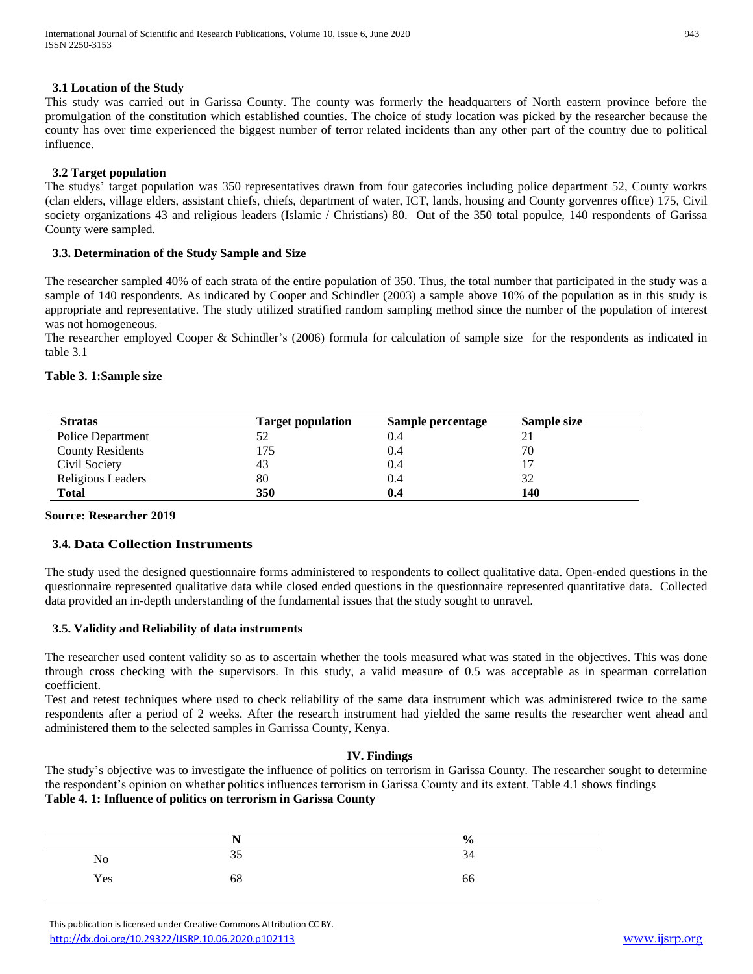## **3.1 Location of the Study**

This study was carried out in Garissa County. The county was formerly the headquarters of North eastern province before the promulgation of the constitution which established counties. The choice of study location was picked by the researcher because the county has over time experienced the biggest number of terror related incidents than any other part of the country due to political influence.

# **3.2 Target population**

The studys' target population was 350 representatives drawn from four gatecories including police department 52, County workrs (clan elders, village elders, assistant chiefs, chiefs, department of water, ICT, lands, housing and County gorvenres office) 175, Civil society organizations 43 and religious leaders (Islamic / Christians) 80. Out of the 350 total populce, 140 respondents of Garissa County were sampled.

# **3.3. Determination of the Study Sample and Size**

The researcher sampled 40% of each strata of the entire population of 350. Thus, the total number that participated in the study was a sample of 140 respondents. As indicated by Cooper and Schindler (2003) a sample above 10% of the population as in this study is appropriate and representative. The study utilized stratified random sampling method since the number of the population of interest was not homogeneous.

The researcher employed Cooper & Schindler's (2006) formula for calculation of sample size for the respondents as indicated in table 3.1

# **Table 3. 1:Sample size**

| <b>Stratas</b>          | <b>Target population</b> | Sample percentage | <b>Sample size</b> |
|-------------------------|--------------------------|-------------------|--------------------|
| Police Department       |                          | 0.4               |                    |
| <b>County Residents</b> | 175                      | 0.4               | 70                 |
| Civil Society           | 43                       | 0.4               |                    |
| Religious Leaders       | 80                       | 0.4               | 32                 |
| <b>Total</b>            | 350                      | 0.4               | 140                |

# **Source: Researcher 2019**

# **3.4. Data Collection Instruments**

The study used the designed questionnaire forms administered to respondents to collect qualitative data. Open-ended questions in the questionnaire represented qualitative data while closed ended questions in the questionnaire represented quantitative data. Collected data provided an in-depth understanding of the fundamental issues that the study sought to unravel.

# **3.5. Validity and Reliability of data instruments**

The researcher used content validity so as to ascertain whether the tools measured what was stated in the objectives. This was done through cross checking with the supervisors. In this study, a valid measure of 0.5 was acceptable as in spearman correlation coefficient.

Test and retest techniques where used to check reliability of the same data instrument which was administered twice to the same respondents after a period of 2 weeks. After the research instrument had yielded the same results the researcher went ahead and administered them to the selected samples in Garrissa County, Kenya.

# **IV. Findings**

The study's objective was to investigate the influence of politics on terrorism in Garissa County. The researcher sought to determine the respondent's opinion on whether politics influences terrorism in Garissa County and its extent. Table 4.1 shows findings **Table 4. 1: Influence of politics on terrorism in Garissa County**

|          | $ -$ | $\frac{6}{6}$ |
|----------|------|---------------|
| $\rm No$ | 35   | 34            |
| Yes      | 68   | 66            |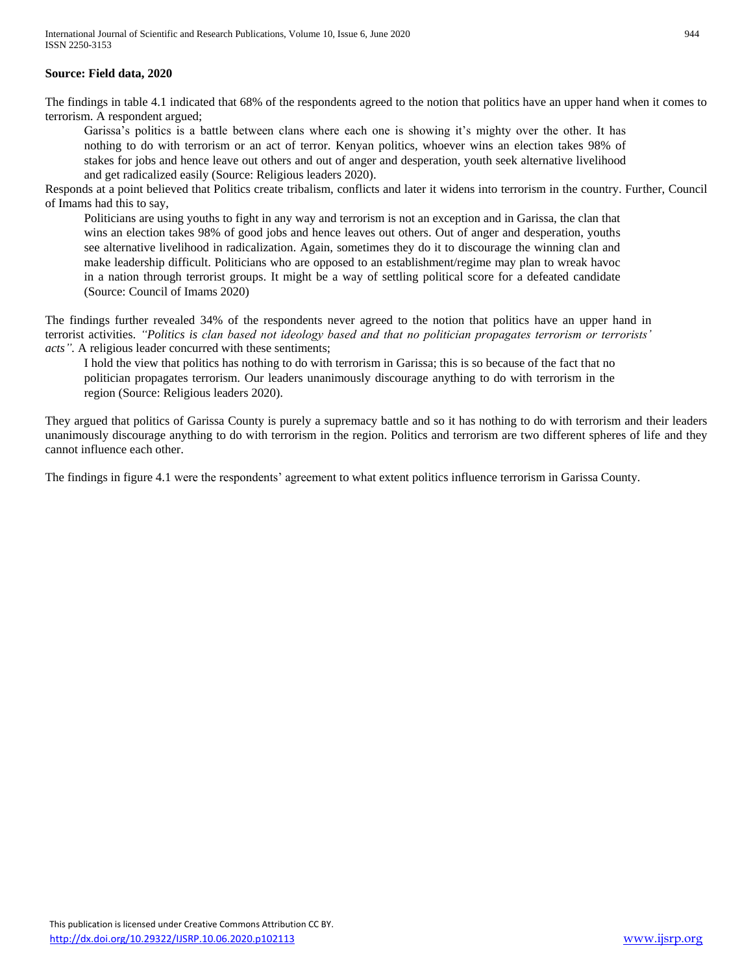## **Source: Field data, 2020**

The findings in table 4.1 indicated that 68% of the respondents agreed to the notion that politics have an upper hand when it comes to terrorism. A respondent argued;

Garissa's politics is a battle between clans where each one is showing it's mighty over the other. It has nothing to do with terrorism or an act of terror. Kenyan politics, whoever wins an election takes 98% of stakes for jobs and hence leave out others and out of anger and desperation, youth seek alternative livelihood and get radicalized easily (Source: Religious leaders 2020).

Responds at a point believed that Politics create tribalism, conflicts and later it widens into terrorism in the country. Further, Council of Imams had this to say,

Politicians are using youths to fight in any way and terrorism is not an exception and in Garissa, the clan that wins an election takes 98% of good jobs and hence leaves out others. Out of anger and desperation, youths see alternative livelihood in radicalization. Again, sometimes they do it to discourage the winning clan and make leadership difficult. Politicians who are opposed to an establishment/regime may plan to wreak havoc in a nation through terrorist groups. It might be a way of settling political score for a defeated candidate (Source: Council of Imams 2020)

The findings further revealed 34% of the respondents never agreed to the notion that politics have an upper hand in terrorist activities. *"Politics is clan based not ideology based and that no politician propagates terrorism or terrorists' acts".* A religious leader concurred with these sentiments;

I hold the view that politics has nothing to do with terrorism in Garissa; this is so because of the fact that no politician propagates terrorism. Our leaders unanimously discourage anything to do with terrorism in the region (Source: Religious leaders 2020).

They argued that politics of Garissa County is purely a supremacy battle and so it has nothing to do with terrorism and their leaders unanimously discourage anything to do with terrorism in the region. Politics and terrorism are two different spheres of life and they cannot influence each other.

The findings in figure 4.1 were the respondents' agreement to what extent politics influence terrorism in Garissa County.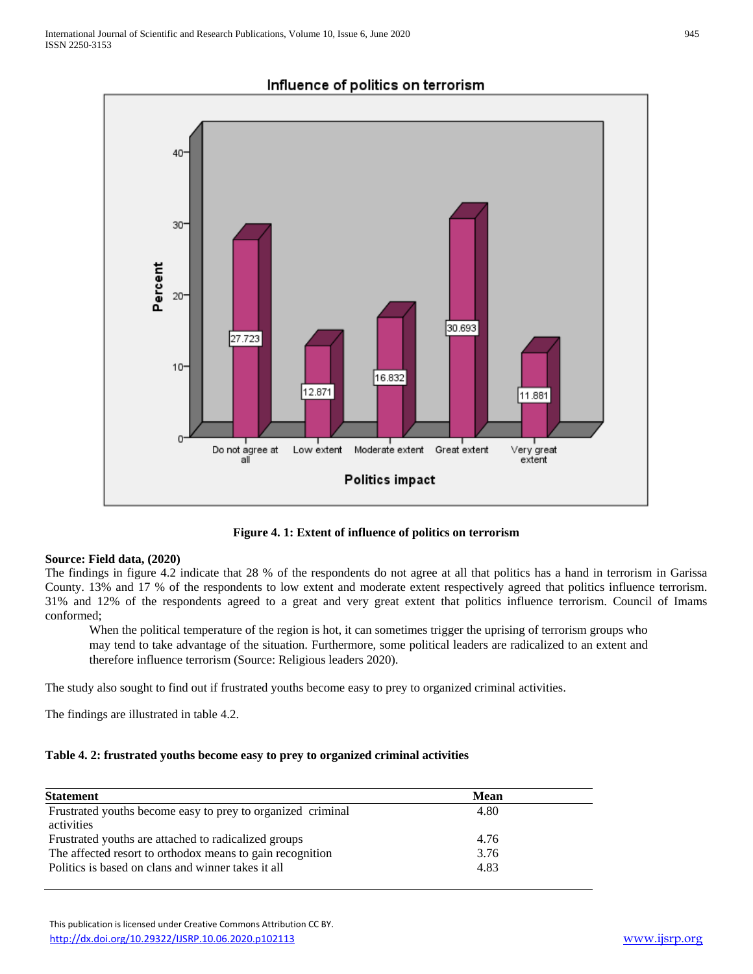

# Influence of politics on terrorism

**Figure 4. 1: Extent of influence of politics on terrorism**

## **Source: Field data, (2020)**

The findings in figure 4.2 indicate that 28 % of the respondents do not agree at all that politics has a hand in terrorism in Garissa County. 13% and 17 % of the respondents to low extent and moderate extent respectively agreed that politics influence terrorism. 31% and 12% of the respondents agreed to a great and very great extent that politics influence terrorism. Council of Imams conformed;

When the political temperature of the region is hot, it can sometimes trigger the uprising of terrorism groups who may tend to take advantage of the situation. Furthermore, some political leaders are radicalized to an extent and therefore influence terrorism (Source: Religious leaders 2020).

The study also sought to find out if frustrated youths become easy to prey to organized criminal activities.

The findings are illustrated in table 4.2.

## **Table 4. 2: frustrated youths become easy to prey to organized criminal activities**

| <b>Statement</b>                                            | Mean |  |
|-------------------------------------------------------------|------|--|
| Frustrated youths become easy to prey to organized criminal | 4.80 |  |
| activities                                                  |      |  |
| Frustrated youths are attached to radicalized groups        | 4.76 |  |
| The affected resort to orthodox means to gain recognition   | 3.76 |  |
| Politics is based on clans and winner takes it all          | 4.83 |  |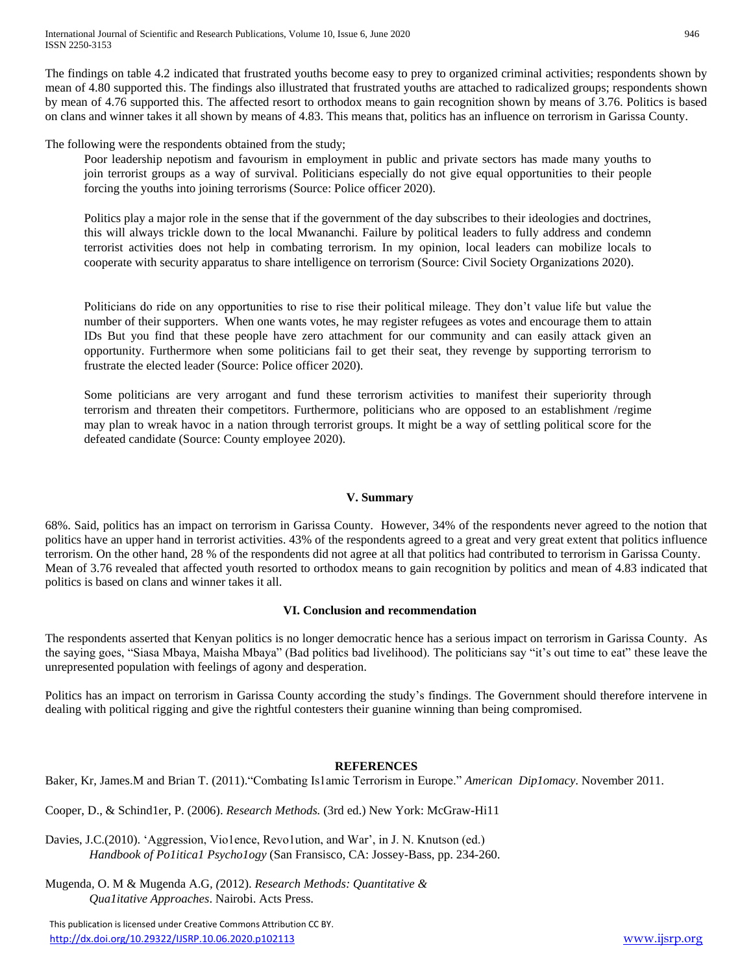The findings on table 4.2 indicated that frustrated youths become easy to prey to organized criminal activities; respondents shown by mean of 4.80 supported this. The findings also illustrated that frustrated youths are attached to radicalized groups; respondents shown by mean of 4.76 supported this. The affected resort to orthodox means to gain recognition shown by means of 3.76. Politics is based on clans and winner takes it all shown by means of 4.83. This means that, politics has an influence on terrorism in Garissa County.

The following were the respondents obtained from the study;

Poor leadership nepotism and favourism in employment in public and private sectors has made many youths to join terrorist groups as a way of survival. Politicians especially do not give equal opportunities to their people forcing the youths into joining terrorisms (Source: Police officer 2020).

Politics play a major role in the sense that if the government of the day subscribes to their ideologies and doctrines, this will always trickle down to the local Mwananchi. Failure by political leaders to fully address and condemn terrorist activities does not help in combating terrorism. In my opinion, local leaders can mobilize locals to cooperate with security apparatus to share intelligence on terrorism (Source: Civil Society Organizations 2020).

Politicians do ride on any opportunities to rise to rise their political mileage. They don't value life but value the number of their supporters. When one wants votes, he may register refugees as votes and encourage them to attain IDs But you find that these people have zero attachment for our community and can easily attack given an opportunity. Furthermore when some politicians fail to get their seat, they revenge by supporting terrorism to frustrate the elected leader (Source: Police officer 2020).

Some politicians are very arrogant and fund these terrorism activities to manifest their superiority through terrorism and threaten their competitors. Furthermore, politicians who are opposed to an establishment /regime may plan to wreak havoc in a nation through terrorist groups. It might be a way of settling political score for the defeated candidate (Source: County employee 2020).

# **V. Summary**

68%. Said, politics has an impact on terrorism in Garissa County. However, 34% of the respondents never agreed to the notion that politics have an upper hand in terrorist activities. 43% of the respondents agreed to a great and very great extent that politics influence terrorism. On the other hand, 28 % of the respondents did not agree at all that politics had contributed to terrorism in Garissa County. Mean of 3.76 revealed that affected youth resorted to orthodox means to gain recognition by politics and mean of 4.83 indicated that politics is based on clans and winner takes it all.

# **VI. Conclusion and recommendation**

The respondents asserted that Kenyan politics is no longer democratic hence has a serious impact on terrorism in Garissa County. As the saying goes, "Siasa Mbaya, Maisha Mbaya" (Bad politics bad livelihood). The politicians say "it's out time to eat" these leave the unrepresented population with feelings of agony and desperation.

Politics has an impact on terrorism in Garissa County according the study's findings. The Government should therefore intervene in dealing with political rigging and give the rightful contesters their guanine winning than being compromised.

# **REFERENCES**

Baker, Kr, James.M and Brian T. (2011)."Combating Is1amic Terrorism in Europe." *American Dip1omacy*. November 2011.

Cooper, D., & Schind1er, P. (2006). *Research Methods.* (3rd ed.) New York: McGraw-Hi11

Davies, J.C.(2010). 'Aggression, Vio1ence, Revo1ution, and War', in J. N. Knutson (ed.) *Handbook of Po1itica1 Psycho1ogy* (San Fransisco, CA: Jossey-Bass, pp. 234-260.

Mugenda*,* O. M & Mugenda A.G*, (*2012). *Research Methods: Quantitative & Qua1itative Approaches*. Nairobi. Acts Press.

 This publication is licensed under Creative Commons Attribution CC BY. <http://dx.doi.org/10.29322/IJSRP.10.06.2020.p102113> [www.ijsrp.org](http://ijsrp.org/)